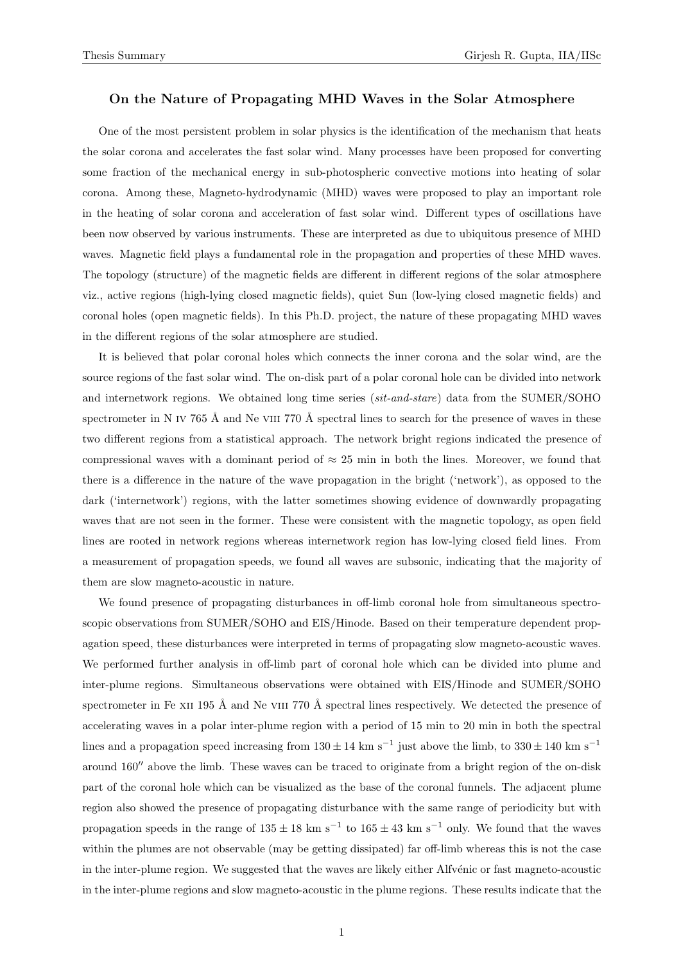## **On the Nature of Propagating MHD Waves in the Solar Atmosphere**

One of the most persistent problem in solar physics is the identification of the mechanism that heats the solar corona and accelerates the fast solar wind. Many processes have been proposed for converting some fraction of the mechanical energy in sub-photospheric convective motions into heating of solar corona. Among these, Magneto-hydrodynamic (MHD) waves were proposed to play an important role in the heating of solar corona and acceleration of fast solar wind. Different types of oscillations have been now observed by various instruments. These are interpreted as due to ubiquitous presence of MHD waves. Magnetic field plays a fundamental role in the propagation and properties of these MHD waves. The topology (structure) of the magnetic fields are different in different regions of the solar atmosphere viz., active regions (high-lying closed magnetic fields), quiet Sun (low-lying closed magnetic fields) and coronal holes (open magnetic fields). In this Ph.D. project, the nature of these propagating MHD waves in the different regions of the solar atmosphere are studied.

It is believed that polar coronal holes which connects the inner corona and the solar wind, are the source regions of the fast solar wind. The on-disk part of a polar coronal hole can be divided into network and internetwork regions. We obtained long time series (*sit-and-stare*) data from the SUMER/SOHO spectrometer in N IV 765 Å and Ne VIII 770 Å spectral lines to search for the presence of waves in these two different regions from a statistical approach. The network bright regions indicated the presence of compressional waves with a dominant period of *≈* 25 min in both the lines. Moreover, we found that there is a difference in the nature of the wave propagation in the bright ('network'), as opposed to the dark ('internetwork') regions, with the latter sometimes showing evidence of downwardly propagating waves that are not seen in the former. These were consistent with the magnetic topology, as open field lines are rooted in network regions whereas internetwork region has low-lying closed field lines. From a measurement of propagation speeds, we found all waves are subsonic, indicating that the majority of them are slow magneto-acoustic in nature.

We found presence of propagating disturbances in off-limb coronal hole from simultaneous spectroscopic observations from SUMER/SOHO and EIS/Hinode. Based on their temperature dependent propagation speed, these disturbances were interpreted in terms of propagating slow magneto-acoustic waves. We performed further analysis in off-limb part of coronal hole which can be divided into plume and inter-plume regions. Simultaneous observations were obtained with EIS/Hinode and SUMER/SOHO spectrometer in Fe x<sub>II</sub> 195 Å and Ne v<sub>III</sub> 770 Å spectral lines respectively. We detected the presence of accelerating waves in a polar inter-plume region with a period of 15 min to 20 min in both the spectral lines and a propagation speed increasing from  $130 \pm 14$  km s<sup>−1</sup> just above the limb, to  $330 \pm 140$  km s<sup>−1</sup> around 160<sup>*n*</sup> above the limb. These waves can be traced to originate from a bright region of the on-disk part of the coronal hole which can be visualized as the base of the coronal funnels. The adjacent plume region also showed the presence of propagating disturbance with the same range of periodicity but with propagation speeds in the range of 135 *<sup>±</sup>* 18 km s*−*<sup>1</sup> to 165 *<sup>±</sup>* 43 km s*−*<sup>1</sup> only. We found that the waves within the plumes are not observable (may be getting dissipated) far off-limb whereas this is not the case in the inter-plume region. We suggested that the waves are likely either Alfvénic or fast magneto-acoustic in the inter-plume regions and slow magneto-acoustic in the plume regions. These results indicate that the